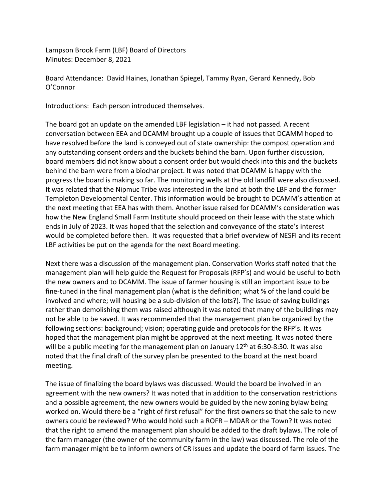Lampson Brook Farm (LBF) Board of Directors Minutes: December 8, 2021

Board Attendance: David Haines, Jonathan Spiegel, Tammy Ryan, Gerard Kennedy, Bob O'Connor

Introductions: Each person introduced themselves.

The board got an update on the amended LBF legislation – it had not passed. A recent conversation between EEA and DCAMM brought up a couple of issues that DCAMM hoped to have resolved before the land is conveyed out of state ownership: the compost operation and any outstanding consent orders and the buckets behind the barn. Upon further discussion, board members did not know about a consent order but would check into this and the buckets behind the barn were from a biochar project. It was noted that DCAMM is happy with the progress the board is making so far. The monitoring wells at the old landfill were also discussed. It was related that the Nipmuc Tribe was interested in the land at both the LBF and the former Templeton Developmental Center. This information would be brought to DCAMM's attention at the next meeting that EEA has with them. Another issue raised for DCAMM's consideration was how the New England Small Farm Institute should proceed on their lease with the state which ends in July of 2023. It was hoped that the selection and conveyance of the state's interest would be completed before then. It was requested that a brief overview of NESFI and its recent LBF activities be put on the agenda for the next Board meeting.

Next there was a discussion of the management plan. Conservation Works staff noted that the management plan will help guide the Request for Proposals (RFP's) and would be useful to both the new owners and to DCAMM. The issue of farmer housing is still an important issue to be fine-tuned in the final management plan (what is the definition; what % of the land could be involved and where; will housing be a sub-division of the lots?). The issue of saving buildings rather than demolishing them was raised although it was noted that many of the buildings may not be able to be saved. It was recommended that the management plan be organized by the following sections: background; vision; operating guide and protocols for the RFP's. It was hoped that the management plan might be approved at the next meeting. It was noted there will be a public meeting for the management plan on January 12<sup>th</sup> at 6:30-8:30. It was also noted that the final draft of the survey plan be presented to the board at the next board meeting.

The issue of finalizing the board bylaws was discussed. Would the board be involved in an agreement with the new owners? It was noted that in addition to the conservation restrictions and a possible agreement, the new owners would be guided by the new zoning bylaw being worked on. Would there be a "right of first refusal" for the first owners so that the sale to new owners could be reviewed? Who would hold such a ROFR – MDAR or the Town? It was noted that the right to amend the management plan should be added to the draft bylaws. The role of the farm manager (the owner of the community farm in the law) was discussed. The role of the farm manager might be to inform owners of CR issues and update the board of farm issues. The